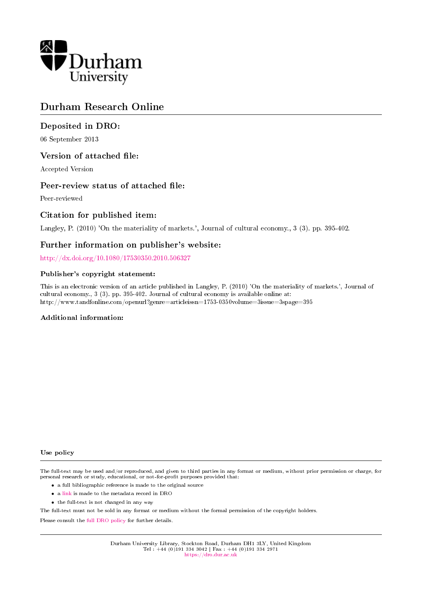

# Durham Research Online

# Deposited in DRO:

06 September 2013

# Version of attached file:

Accepted Version

# Peer-review status of attached file:

Peer-reviewed

# Citation for published item:

Langley, P. (2010) 'On the materiality of markets.', Journal of cultural economy., 3 (3). pp. 395-402.

# Further information on publisher's website:

<http://dx.doi.org/10.1080/17530350.2010.506327>

### Publisher's copyright statement:

This is an electronic version of an article published in Langley, P. (2010) 'On the materiality of markets.', Journal of cultural economy., 3 (3). pp. 395-402. Journal of cultural economy is available online at: http://www.tandfonline.com/openurl?genre=articleissn=1753-0350volume=3issue=3spage=395

### Additional information:

#### Use policy

The full-text may be used and/or reproduced, and given to third parties in any format or medium, without prior permission or charge, for personal research or study, educational, or not-for-profit purposes provided that:

- a full bibliographic reference is made to the original source
- a [link](http://dro.dur.ac.uk/11325/) is made to the metadata record in DRO
- the full-text is not changed in any way

The full-text must not be sold in any format or medium without the formal permission of the copyright holders.

Please consult the [full DRO policy](https://dro.dur.ac.uk/policies/usepolicy.pdf) for further details.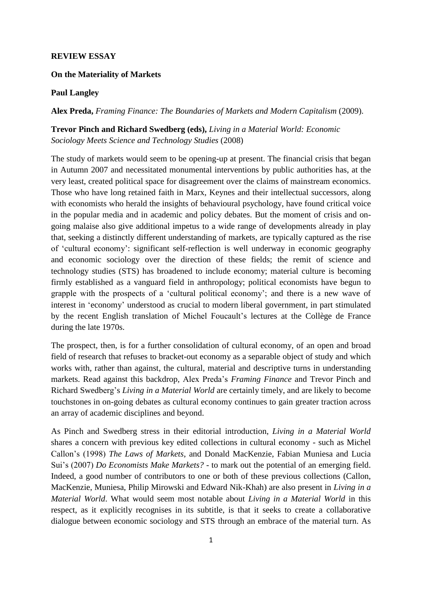### **REVIEW ESSAY**

### **On the Materiality of Markets**

### **Paul Langley**

**Alex Preda,** *Framing Finance: The Boundaries of Markets and Modern Capitalism* (2009).

# **Trevor Pinch and Richard Swedberg (eds),** *Living in a Material World: Economic Sociology Meets Science and Technology Studies* (2008)

The study of markets would seem to be opening-up at present. The financial crisis that began in Autumn 2007 and necessitated monumental interventions by public authorities has, at the very least, created political space for disagreement over the claims of mainstream economics. Those who have long retained faith in Marx, Keynes and their intellectual successors, along with economists who herald the insights of behavioural psychology, have found critical voice in the popular media and in academic and policy debates. But the moment of crisis and ongoing malaise also give additional impetus to a wide range of developments already in play that, seeking a distinctly different understanding of markets, are typically captured as the rise of 'cultural economy': significant self-reflection is well underway in economic geography and economic sociology over the direction of these fields; the remit of science and technology studies (STS) has broadened to include economy; material culture is becoming firmly established as a vanguard field in anthropology; political economists have begun to grapple with the prospects of a 'cultural political economy'; and there is a new wave of interest in 'economy' understood as crucial to modern liberal government, in part stimulated by the recent English translation of Michel Foucault's lectures at the Collège de France during the late 1970s.

The prospect, then, is for a further consolidation of cultural economy, of an open and broad field of research that refuses to bracket-out economy as a separable object of study and which works with, rather than against, the cultural, material and descriptive turns in understanding markets. Read against this backdrop, Alex Preda's *Framing Finance* and Trevor Pinch and Richard Swedberg's *Living in a Material World* are certainly timely, and are likely to become touchstones in on-going debates as cultural economy continues to gain greater traction across an array of academic disciplines and beyond.

As Pinch and Swedberg stress in their editorial introduction, *Living in a Material World* shares a concern with previous key edited collections in cultural economy - such as Michel Callon's (1998) *The Laws of Markets*, and Donald MacKenzie, Fabian Muniesa and Lucia Sui's (2007) *Do Economists Make Markets?* - to mark out the potential of an emerging field. Indeed, a good number of contributors to one or both of these previous collections (Callon, MacKenzie, Muniesa, Philip Mirowski and Edward Nik-Khah) are also present in *Living in a Material World*. What would seem most notable about *Living in a Material World* in this respect, as it explicitly recognises in its subtitle, is that it seeks to create a collaborative dialogue between economic sociology and STS through an embrace of the material turn. As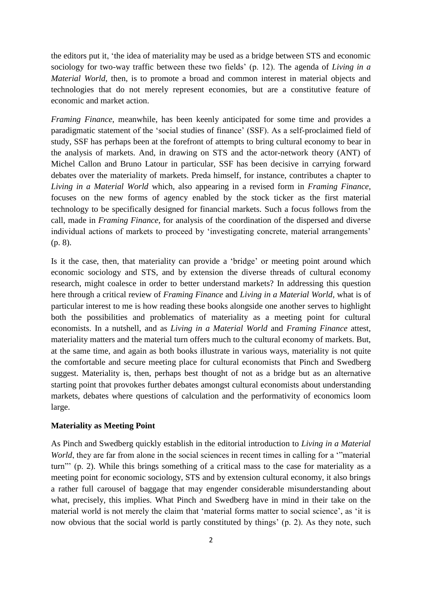the editors put it, 'the idea of materiality may be used as a bridge between STS and economic sociology for two-way traffic between these two fields' (p. 12). The agenda of *Living in a Material World*, then, is to promote a broad and common interest in material objects and technologies that do not merely represent economies, but are a constitutive feature of economic and market action.

*Framing Finance*, meanwhile, has been keenly anticipated for some time and provides a paradigmatic statement of the 'social studies of finance' (SSF). As a self-proclaimed field of study, SSF has perhaps been at the forefront of attempts to bring cultural economy to bear in the analysis of markets. And, in drawing on STS and the actor-network theory (ANT) of Michel Callon and Bruno Latour in particular, SSF has been decisive in carrying forward debates over the materiality of markets. Preda himself, for instance, contributes a chapter to *Living in a Material World* which, also appearing in a revised form in *Framing Finance*, focuses on the new forms of agency enabled by the stock ticker as the first material technology to be specifically designed for financial markets. Such a focus follows from the call, made in *Framing Finance,* for analysis of the coordination of the dispersed and diverse individual actions of markets to proceed by 'investigating concrete, material arrangements' (p. 8).

Is it the case, then, that materiality can provide a 'bridge' or meeting point around which economic sociology and STS, and by extension the diverse threads of cultural economy research, might coalesce in order to better understand markets? In addressing this question here through a critical review of *Framing Finance* and *Living in a Material World,* what is of particular interest to me is how reading these books alongside one another serves to highlight both the possibilities and problematics of materiality as a meeting point for cultural economists. In a nutshell, and as *Living in a Material World* and *Framing Finance* attest, materiality matters and the material turn offers much to the cultural economy of markets. But, at the same time, and again as both books illustrate in various ways, materiality is not quite the comfortable and secure meeting place for cultural economists that Pinch and Swedberg suggest. Materiality is, then, perhaps best thought of not as a bridge but as an alternative starting point that provokes further debates amongst cultural economists about understanding markets, debates where questions of calculation and the performativity of economics loom large.

### **Materiality as Meeting Point**

As Pinch and Swedberg quickly establish in the editorial introduction to *Living in a Material World*, they are far from alone in the social sciences in recent times in calling for a "material" turn"' (p. 2). While this brings something of a critical mass to the case for materiality as a meeting point for economic sociology, STS and by extension cultural economy, it also brings a rather full carousel of baggage that may engender considerable misunderstanding about what, precisely, this implies. What Pinch and Swedberg have in mind in their take on the material world is not merely the claim that 'material forms matter to social science', as 'it is now obvious that the social world is partly constituted by things' (p. 2). As they note, such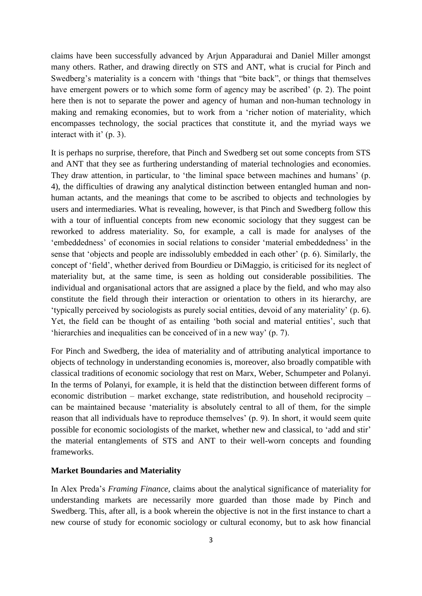claims have been successfully advanced by Arjun Apparadurai and Daniel Miller amongst many others. Rather, and drawing directly on STS and ANT, what is crucial for Pinch and Swedberg's materiality is a concern with 'things that "bite back", or things that themselves have emergent powers or to which some form of agency may be ascribed' (p. 2). The point here then is not to separate the power and agency of human and non-human technology in making and remaking economies, but to work from a 'richer notion of materiality, which encompasses technology, the social practices that constitute it, and the myriad ways we interact with it' (p. 3).

It is perhaps no surprise, therefore, that Pinch and Swedberg set out some concepts from STS and ANT that they see as furthering understanding of material technologies and economies. They draw attention, in particular, to 'the liminal space between machines and humans' (p. 4), the difficulties of drawing any analytical distinction between entangled human and nonhuman actants, and the meanings that come to be ascribed to objects and technologies by users and intermediaries. What is revealing, however, is that Pinch and Swedberg follow this with a tour of influential concepts from new economic sociology that they suggest can be reworked to address materiality. So, for example, a call is made for analyses of the 'embeddedness' of economies in social relations to consider 'material embeddedness' in the sense that 'objects and people are indissolubly embedded in each other' (p. 6). Similarly, the concept of 'field', whether derived from Bourdieu or DiMaggio, is criticised for its neglect of materiality but, at the same time, is seen as holding out considerable possibilities. The individual and organisational actors that are assigned a place by the field, and who may also constitute the field through their interaction or orientation to others in its hierarchy, are 'typically perceived by sociologists as purely social entities, devoid of any materiality' (p. 6). Yet, the field can be thought of as entailing 'both social and material entities', such that 'hierarchies and inequalities can be conceived of in a new way' (p. 7).

For Pinch and Swedberg, the idea of materiality and of attributing analytical importance to objects of technology in understanding economies is, moreover, also broadly compatible with classical traditions of economic sociology that rest on Marx, Weber, Schumpeter and Polanyi. In the terms of Polanyi, for example, it is held that the distinction between different forms of economic distribution – market exchange, state redistribution, and household reciprocity – can be maintained because 'materiality is absolutely central to all of them, for the simple reason that all individuals have to reproduce themselves' (p. 9). In short, it would seem quite possible for economic sociologists of the market, whether new and classical, to 'add and stir' the material entanglements of STS and ANT to their well-worn concepts and founding frameworks.

# **Market Boundaries and Materiality**

In Alex Preda's *Framing Finance*, claims about the analytical significance of materiality for understanding markets are necessarily more guarded than those made by Pinch and Swedberg. This, after all, is a book wherein the objective is not in the first instance to chart a new course of study for economic sociology or cultural economy, but to ask how financial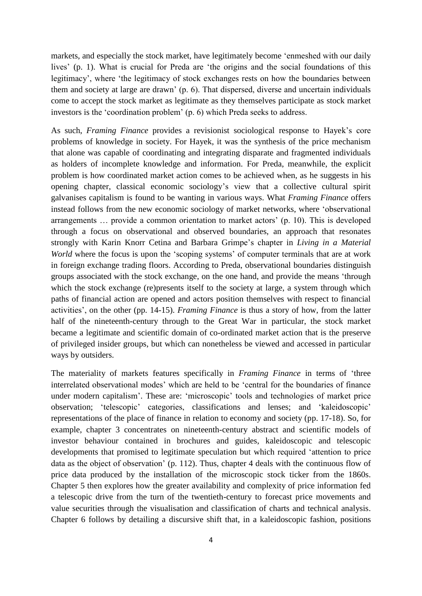markets, and especially the stock market, have legitimately become 'enmeshed with our daily lives' (p. 1). What is crucial for Preda are 'the origins and the social foundations of this legitimacy', where 'the legitimacy of stock exchanges rests on how the boundaries between them and society at large are drawn' (p. 6). That dispersed, diverse and uncertain individuals come to accept the stock market as legitimate as they themselves participate as stock market investors is the 'coordination problem' (p. 6) which Preda seeks to address.

As such, *Framing Finance* provides a revisionist sociological response to Hayek's core problems of knowledge in society. For Hayek, it was the synthesis of the price mechanism that alone was capable of coordinating and integrating disparate and fragmented individuals as holders of incomplete knowledge and information. For Preda, meanwhile, the explicit problem is how coordinated market action comes to be achieved when, as he suggests in his opening chapter, classical economic sociology's view that a collective cultural spirit galvanises capitalism is found to be wanting in various ways. What *Framing Finance* offers instead follows from the new economic sociology of market networks, where 'observational arrangements … provide a common orientation to market actors' (p. 10). This is developed through a focus on observational and observed boundaries, an approach that resonates strongly with Karin Knorr Cetina and Barbara Grimpe's chapter in *Living in a Material World* where the focus is upon the 'scoping systems' of computer terminals that are at work in foreign exchange trading floors. According to Preda, observational boundaries distinguish groups associated with the stock exchange, on the one hand, and provide the means 'through which the stock exchange (re)presents itself to the society at large, a system through which paths of financial action are opened and actors position themselves with respect to financial activities', on the other (pp. 14-15). *Framing Finance* is thus a story of how, from the latter half of the nineteenth-century through to the Great War in particular, the stock market became a legitimate and scientific domain of co-ordinated market action that is the preserve of privileged insider groups, but which can nonetheless be viewed and accessed in particular ways by outsiders.

The materiality of markets features specifically in *Framing Finance* in terms of 'three interrelated observational modes' which are held to be 'central for the boundaries of finance under modern capitalism'. These are: 'microscopic' tools and technologies of market price observation; 'telescopic' categories, classifications and lenses; and 'kaleidoscopic' representations of the place of finance in relation to economy and society (pp. 17-18). So, for example, chapter 3 concentrates on nineteenth-century abstract and scientific models of investor behaviour contained in brochures and guides, kaleidoscopic and telescopic developments that promised to legitimate speculation but which required 'attention to price data as the object of observation' (p. 112). Thus, chapter 4 deals with the continuous flow of price data produced by the installation of the microscopic stock ticker from the 1860s. Chapter 5 then explores how the greater availability and complexity of price information fed a telescopic drive from the turn of the twentieth-century to forecast price movements and value securities through the visualisation and classification of charts and technical analysis. Chapter 6 follows by detailing a discursive shift that, in a kaleidoscopic fashion, positions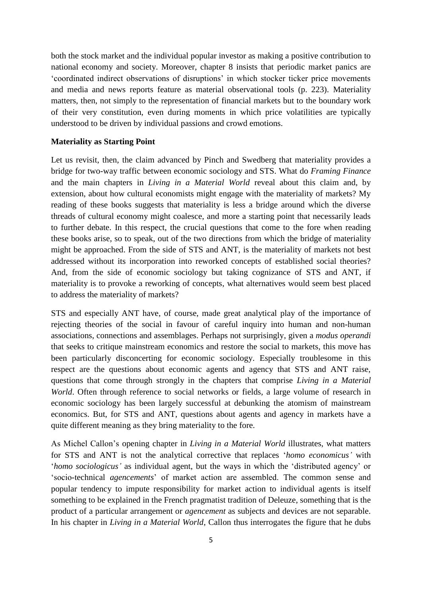both the stock market and the individual popular investor as making a positive contribution to national economy and society. Moreover, chapter 8 insists that periodic market panics are 'coordinated indirect observations of disruptions' in which stocker ticker price movements and media and news reports feature as material observational tools (p. 223). Materiality matters, then, not simply to the representation of financial markets but to the boundary work of their very constitution, even during moments in which price volatilities are typically understood to be driven by individual passions and crowd emotions.

### **Materiality as Starting Point**

Let us revisit, then, the claim advanced by Pinch and Swedberg that materiality provides a bridge for two-way traffic between economic sociology and STS. What do *Framing Finance* and the main chapters in *Living in a Material World* reveal about this claim and, by extension, about how cultural economists might engage with the materiality of markets? My reading of these books suggests that materiality is less a bridge around which the diverse threads of cultural economy might coalesce, and more a starting point that necessarily leads to further debate. In this respect, the crucial questions that come to the fore when reading these books arise, so to speak, out of the two directions from which the bridge of materiality might be approached. From the side of STS and ANT, is the materiality of markets not best addressed without its incorporation into reworked concepts of established social theories? And, from the side of economic sociology but taking cognizance of STS and ANT, if materiality is to provoke a reworking of concepts, what alternatives would seem best placed to address the materiality of markets?

STS and especially ANT have, of course, made great analytical play of the importance of rejecting theories of the social in favour of careful inquiry into human and non-human associations, connections and assemblages. Perhaps not surprisingly, given a *modus operandi* that seeks to critique mainstream economics and restore the social to markets, this move has been particularly disconcerting for economic sociology. Especially troublesome in this respect are the questions about economic agents and agency that STS and ANT raise, questions that come through strongly in the chapters that comprise *Living in a Material World*. Often through reference to social networks or fields, a large volume of research in economic sociology has been largely successful at debunking the atomism of mainstream economics. But, for STS and ANT, questions about agents and agency in markets have a quite different meaning as they bring materiality to the fore.

As Michel Callon's opening chapter in *Living in a Material World* illustrates, what matters for STS and ANT is not the analytical corrective that replaces '*homo economicus'* with '*homo sociologicus'* as individual agent, but the ways in which the 'distributed agency' or 'socio-technical *agencements*' of market action are assembled. The common sense and popular tendency to impute responsibility for market action to individual agents is itself something to be explained in the French pragmatist tradition of Deleuze, something that is the product of a particular arrangement or *agencement* as subjects and devices are not separable. In his chapter in *Living in a Material World*, Callon thus interrogates the figure that he dubs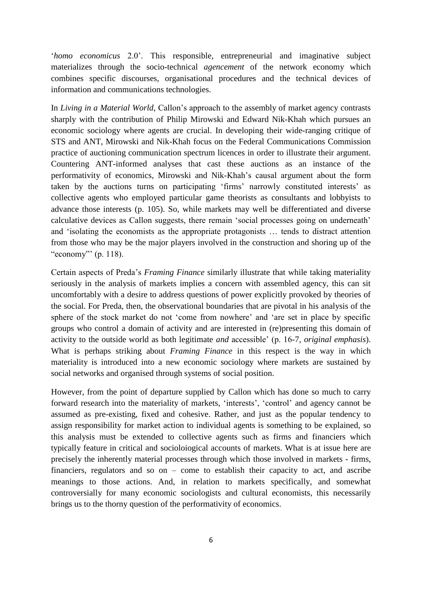'*homo economicus* 2.0'. This responsible, entrepreneurial and imaginative subject materializes through the socio-technical *agencement* of the network economy which combines specific discourses, organisational procedures and the technical devices of information and communications technologies.

In *Living in a Material World*, Callon's approach to the assembly of market agency contrasts sharply with the contribution of Philip Mirowski and Edward Nik-Khah which pursues an economic sociology where agents are crucial. In developing their wide-ranging critique of STS and ANT, Mirowski and Nik-Khah focus on the Federal Communications Commission practice of auctioning communication spectrum licences in order to illustrate their argument. Countering ANT-informed analyses that cast these auctions as an instance of the performativity of economics, Mirowski and Nik-Khah's causal argument about the form taken by the auctions turns on participating 'firms' narrowly constituted interests' as collective agents who employed particular game theorists as consultants and lobbyists to advance those interests (p. 105). So, while markets may well be differentiated and diverse calculative devices as Callon suggests, there remain 'social processes going on underneath' and 'isolating the economists as the appropriate protagonists … tends to distract attention from those who may be the major players involved in the construction and shoring up of the "economy" (p. 118).

Certain aspects of Preda's *Framing Finance* similarly illustrate that while taking materiality seriously in the analysis of markets implies a concern with assembled agency, this can sit uncomfortably with a desire to address questions of power explicitly provoked by theories of the social. For Preda, then, the observational boundaries that are pivotal in his analysis of the sphere of the stock market do not 'come from nowhere' and 'are set in place by specific groups who control a domain of activity and are interested in (re)presenting this domain of activity to the outside world as both legitimate *and* accessible' (p. 16-7, *original emphasis*). What is perhaps striking about *Framing Finance* in this respect is the way in which materiality is introduced into a new economic sociology where markets are sustained by social networks and organised through systems of social position.

However, from the point of departure supplied by Callon which has done so much to carry forward research into the materiality of markets, 'interests', 'control' and agency cannot be assumed as pre-existing, fixed and cohesive. Rather, and just as the popular tendency to assign responsibility for market action to individual agents is something to be explained, so this analysis must be extended to collective agents such as firms and financiers which typically feature in critical and socioloiogical accounts of markets. What is at issue here are precisely the inherently material processes through which those involved in markets - firms, financiers, regulators and so on – come to establish their capacity to act, and ascribe meanings to those actions. And, in relation to markets specifically, and somewhat controversially for many economic sociologists and cultural economists, this necessarily brings us to the thorny question of the performativity of economics.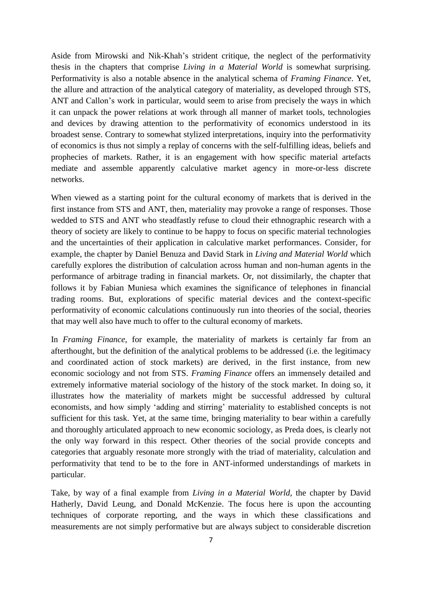Aside from Mirowski and Nik-Khah's strident critique, the neglect of the performativity thesis in the chapters that comprise *Living in a Material World* is somewhat surprising. Performativity is also a notable absence in the analytical schema of *Framing Finance*. Yet, the allure and attraction of the analytical category of materiality, as developed through STS, ANT and Callon's work in particular, would seem to arise from precisely the ways in which it can unpack the power relations at work through all manner of market tools, technologies and devices by drawing attention to the performativity of economics understood in its broadest sense. Contrary to somewhat stylized interpretations, inquiry into the performativity of economics is thus not simply a replay of concerns with the self-fulfilling ideas, beliefs and prophecies of markets. Rather, it is an engagement with how specific material artefacts mediate and assemble apparently calculative market agency in more-or-less discrete networks.

When viewed as a starting point for the cultural economy of markets that is derived in the first instance from STS and ANT, then, materiality may provoke a range of responses. Those wedded to STS and ANT who steadfastly refuse to cloud their ethnographic research with a theory of society are likely to continue to be happy to focus on specific material technologies and the uncertainties of their application in calculative market performances. Consider, for example, the chapter by Daniel Benuza and David Stark in *Living and Material World* which carefully explores the distribution of calculation across human and non-human agents in the performance of arbitrage trading in financial markets. Or, not dissimilarly, the chapter that follows it by Fabian Muniesa which examines the significance of telephones in financial trading rooms. But, explorations of specific material devices and the context-specific performativity of economic calculations continuously run into theories of the social, theories that may well also have much to offer to the cultural economy of markets.

In *Framing Finance*, for example, the materiality of markets is certainly far from an afterthought, but the definition of the analytical problems to be addressed (i.e. the legitimacy and coordinated action of stock markets) are derived, in the first instance, from new economic sociology and not from STS. *Framing Finance* offers an immensely detailed and extremely informative material sociology of the history of the stock market. In doing so, it illustrates how the materiality of markets might be successful addressed by cultural economists, and how simply 'adding and stirring' materiality to established concepts is not sufficient for this task. Yet, at the same time, bringing materiality to bear within a carefully and thoroughly articulated approach to new economic sociology, as Preda does, is clearly not the only way forward in this respect. Other theories of the social provide concepts and categories that arguably resonate more strongly with the triad of materiality, calculation and performativity that tend to be to the fore in ANT-informed understandings of markets in particular.

Take, by way of a final example from *Living in a Material World*, the chapter by David Hatherly, David Leung, and Donald McKenzie. The focus here is upon the accounting techniques of corporate reporting, and the ways in which these classifications and measurements are not simply performative but are always subject to considerable discretion